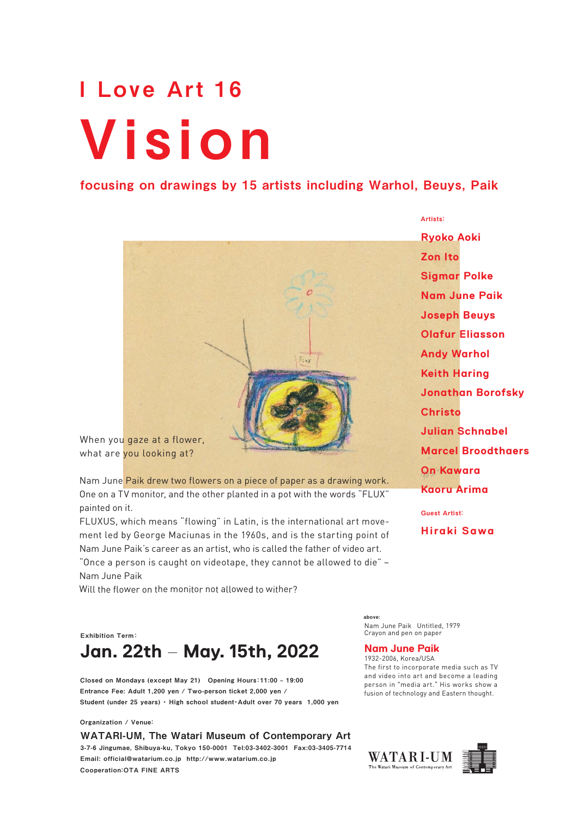# Vision I Love Art 16

# focusing on drawings by 15 artists including Warhol, Beuys, Paik

When you gaze at a flower, what are you looking at?

Nam June Paik drew two flowers on <sup>a</sup> piece of paper as <sup>a</sup> drawing work. One on <sup>a</sup> TV monitor, and the other planted in <sup>a</sup> po<sup>t</sup> with the words "FLUX" painted on it.

FLUXUS, which means "flowing" in Latin, is the international art movement led by George Maciunas in the 1960s, and is the starting point of Nam June Paik's career as an artist, who is called the father of video art. "Once <sup>a</sup> person is caught on videotape, they cannot be allowed to die" – Nam June Paik

Will the flower on the monitor not allowed to wither?

Exhibition Term: **Jan. 22th – May. 15th, 2022**

Closed on Mondays (except May 21) Opening Hours: 11:00 - 19:00 Entrance Fee: Adult 1,200 yen / Two-person ticket 2,000 yen / Student (under 25 years) ・ High school student・Adult over 70 years 1,000 yen

Organization / Venue:

WATARI-UM, The Watari Museum of Contemporary Art 3-7-6 Jingumae, Shibuya-ku, Tokyo 150-0001 Tel:03-3402-3001 Fax:03-3405-7714 Email: official@watarium.co.jp http://www.watarium.co.jp Cooperation:OTA FINE ARTS

Nam June Paik Untitled, 1979 Crayon and pen on paper above:

## **Nam June Paik**

1932-2006, Korea/USA The first to incorporate media such as TV and video into art and become <sup>a</sup> leading person in "media art." His works show <sup>a</sup> fusion of technology and Eastern thought.

WATAR I-UM The Watari Museum of Contemporar



**Ryoko Aoki Zon Ito Sigmar Polke Nam June Paik Joseph Beuys Olafur Eliasson Andy Warhol Keith Haring Jonathan Borofsky Christo Julian Schnabel Marcel Broodthaers On Kawara Kaoru Arima** Guest Artist:

Artists:

**Hiraki Sawa**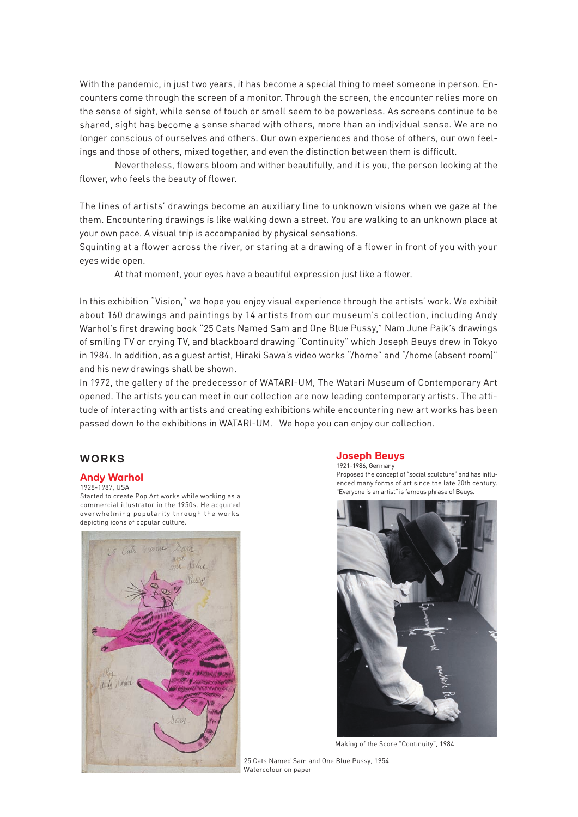With the pandemic, in just two years, it has become <sup>a</sup> special thing to meet someone in person. Encounters come through the screen of <sup>a</sup> monitor. Through the screen, the encounter relies more on the sense of sight, while sense of touch or smell seem to be powerless. As screens continue to be shared, sight has become <sup>a</sup> sense shared with others, more than an individual sense. We are no longer conscious of ourselves and others. Our own experiences and those of others, our own feelings and those of others, mixed together, and even the distinction between them is difficult.

Nevertheless, flowers bloom and wither beautifully, and it is you, the person looking at the flower, who feels the beauty of flower.

The lines of artists' drawings become an auxiliary line to unknown visions when we gaze at the them. Encountering drawings is like walking down <sup>a</sup> street. You are walking to an unknown place at your own pace. A visual trip is accompanied by physical sensations.

Squinting at <sup>a</sup> flower across the river, or staring at <sup>a</sup> drawing of <sup>a</sup> flower in front of you with your eyes wide open.

At that moment, your eyes have <sup>a</sup> beautiful expression just like <sup>a</sup> flower.

In this exhibition "Vision," we hope you enjoy visual experience through the artists' work. We exhibit about 160 drawings and paintings by 14 artists from our museum's collection, including Andy Warhol's first drawing book "25 Cats Named Sam and One Blue Pussy," Nam June Paik's drawings of smiling TV or crying TV, and blackboard drawing "Continuity" which Joseph Beuys drew in Tokyo in 1984. In addition, as <sup>a</sup> gues<sup>t</sup> artist, Hiraki Sawa's video works "/home" and "/home (absent room)" and his new drawings shall be shown.

In 1972, the gallery of the predecessor of WATARI-UM, The Watari Museum of Contemporary Art opened. The artists you can meet in our collection are now leading contemporary artists. The attitude of interacting with artists and creating exhibitions while encountering new art works has been passed down to the exhibitions in WATARI-UM. We hope you can enjoy our collection.

## **WORKS**

#### **Andy Warhol**

#### 1928-1987, USA

Started to create Pop Art works while working as <sup>a</sup> commercial illustrator in the 1950s. He acquired overwhelming popularity through the works depicting icons of popular culture.



#### **Joseph Beuys** 1921-1986, Germany

Proposed the concep<sup>t</sup> of "social sculpture" and has influenced many forms of art since the late 20th century. "Everyone is an artist"is famous phrase of Beuys.



Making of the Score "Continuity", 1984

25 Cats Named Sam and One Blue Pussy, 1954 Watercolour on paper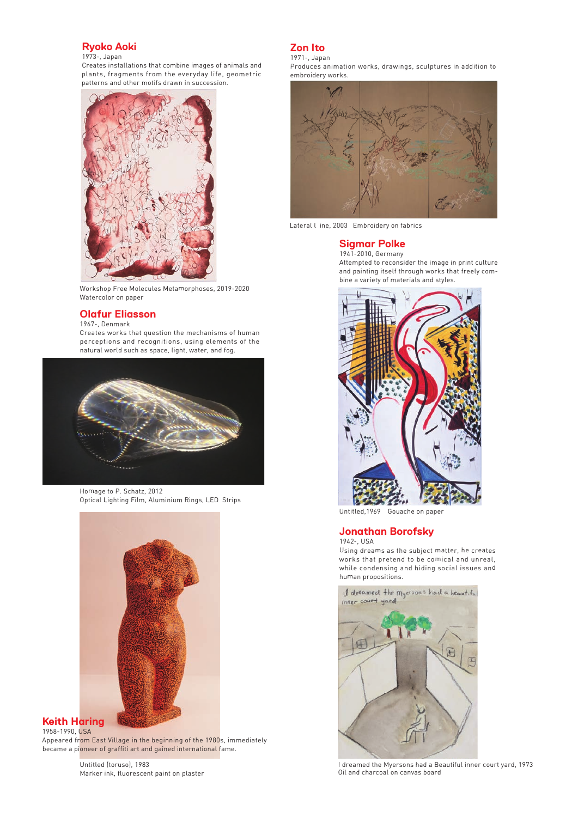## **Ryoko Aoki**

#### 1973-, Japan

Creates installations that combine images of animals and plants, fragments from the everyday life, geometric patterns and other motifs drawn in succession.



Workshop Free Molecules Metamorphoses, 2019-2020 Watercolor on paper

## **Olafur Eliasson**

1967-, Denmark

Creates works that question the mechanisms of human perceptions and recognitions, using elements of the natural world such as space, light, water, and fog.



Homage to P. Schatz, 2012 Optical Lighting Film, Aluminium Rings, LED Strips



#### **Keith Haring** 1958-1990, USA

Appeared from East Village in the beginning of the 1980s, immediately became <sup>a</sup> pioneer of graffiti art and gained international fame.

> Untitled (toruso), 1983 Marker ink, fluorescent paint on plaster

#### **Zon Ito** 1971-, Japan

Produces animation works, drawings, sculptures in addition to embroidery works.



Lateral l ine, 2003 Embroidery on fabrics

#### **Sigmar Polke** 1941-2010, Germany

Attempted to reconsider the image in print culture and painting itself through works that freely combine <sup>a</sup> variety of materials and styles.



Untitled,1969 Gouache on paper

## **Jonathan Borofsky**

1942-, USA Using dreams as the subject matter, he creates works that pretend to be comical and unreal, while condensing and hiding social issues and human propositions.



I dreamed the Myersons had <sup>a</sup> Beautiful inner court yard, 1973 Oil and charcoal on canvas board